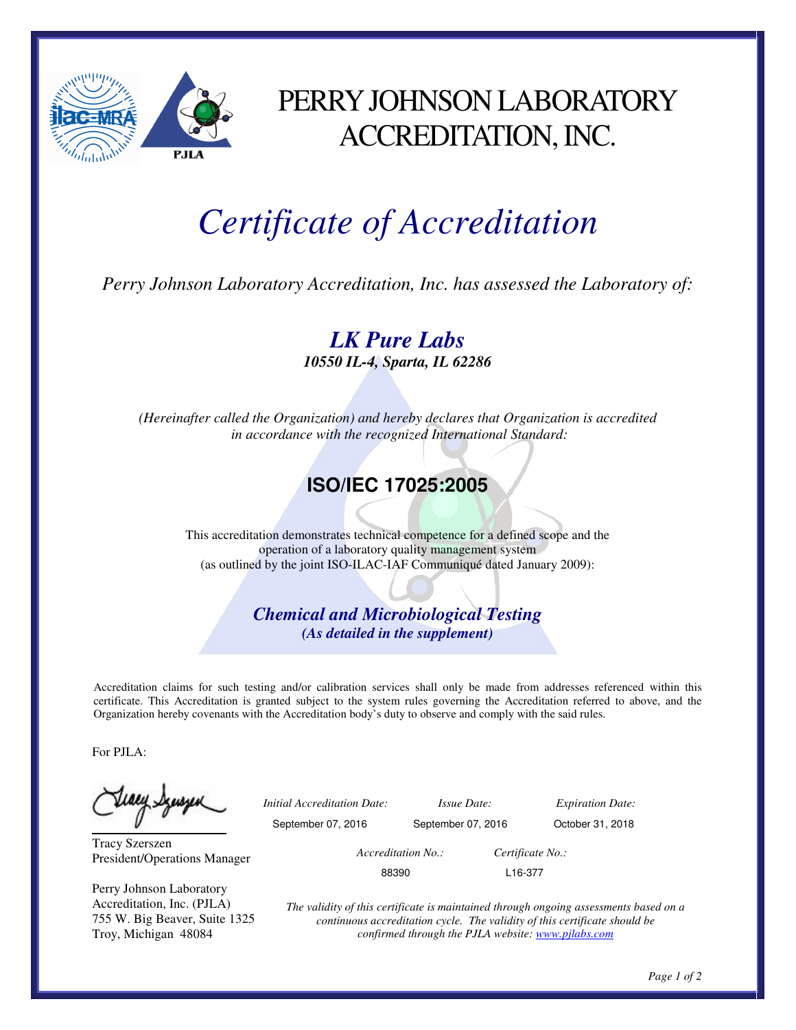

## PERRY JOHNSON LABORATORY ACCREDITATION, INC.

## *Certificate of Accreditation*

*Perry Johnson Laboratory Accreditation, Inc. has assessed the Laboratory of:* 

*LK Pure Labs 10550 IL-4, Sparta, IL 62286* 

*(Hereinafter called the Organization) and hereby declares that Organization is accredited in accordance with the recognized International Standard:* 

## **ISO/IEC 17025:2005**

This accreditation demonstrates technical competence for a defined scope and the operation of a laboratory quality management system (as outlined by the joint ISO-ILAC-IAF Communiqué dated January 2009):

> *Chemical and Microbiological Testing (As detailed in the supplement)*

Accreditation claims for such testing and/or calibration services shall only be made from addresses referenced within this certificate. This Accreditation is granted subject to the system rules governing the Accreditation referred to above, and the Organization hereby covenants with the Accreditation body's duty to observe and comply with the said rules.

For PJLA:

Teacy Synsyer

Tracy Szerszen President/Operations Manager

Perry Johnson Laboratory Accreditation, Inc. (PJLA) 755 W. Big Beaver, Suite 1325 Troy, Michigan 48084

 *Initial Accreditation Date: Issue Date: Expiration Date:*  September 07, 2016 September 07, 2016 October 31, 2018  *Accreditation No.: Certificate No.:*  88390 L16-377

> *The validity of this certificate is maintained through ongoing assessments based on a continuous accreditation cycle. The validity of this certificate should be confirmed through the PJLA website: www.pjlabs.com*